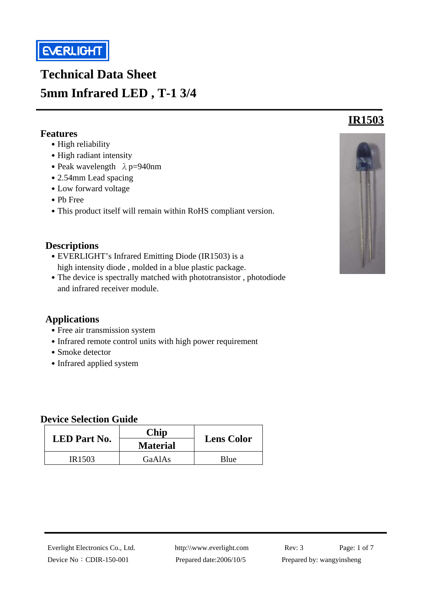

# **Technical Data Sheet 5mm Infrared LED , T-1 3/4**

#### **Features**

í

- High reliability
- High radiant intensity
- Peak wavelength  $\lambda$  p=940nm
- 2.54mm Lead spacing
- ․Low forward voltage
- ․Pb Free
- This product itself will remain within RoHS compliant version.

#### **Descriptions**

- EVERLIGHT's Infrared Emitting Diode (IR1503) is a high intensity diode , molded in a blue plastic package.
- The device is spectrally matched with phototransistor, photodiode and infrared receiver module.

#### **Applications**

- Free air transmission system
- Infrared remote control units with high power requirement
- Smoke detector
- Infrared applied system

#### **Device Selection Guide**

| <b>LED</b> Part No. | Chip<br><b>Material</b> | <b>Lens Color</b> |  |
|---------------------|-------------------------|-------------------|--|
| IR <sub>1503</sub>  | GaAlAs                  | Blue              |  |



# Everlight Electronics Co., Ltd. http:\\www.everlight.com Rev: 3 Page: 1 of 7

**IR1503**

Device No: CDIR-150-001 Prepared date:2006/10/5 Prepared by: wangyinsheng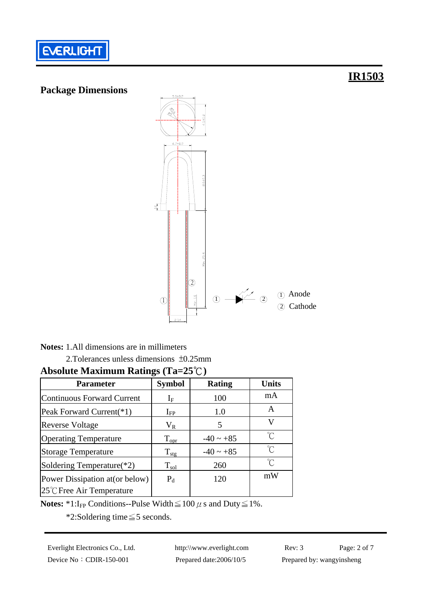



# **Notes:** 1.All dimensions are in millimeters2.Tolerances unless dimensions ±0.25mm **Absolute Maximum Ratings (Ta=25**℃**)**

| <b>Parameter</b>                    | <b>Symbol</b>       | <b>Rating</b>  | <b>Units</b>        |
|-------------------------------------|---------------------|----------------|---------------------|
| Continuous Forward Current          | ${\rm I}_{{\rm F}}$ | 100            | mA                  |
| Peak Forward Current(*1)            | $\rm I_{FP}$        | 1.0            | Α                   |
| <b>Reverse Voltage</b>              | $V_{R}$             | 5              | V                   |
| <b>Operating Temperature</b>        | $T_{\text{opt}}$    | $-40 \sim +85$ | °C                  |
| <b>Storage Temperature</b>          | $T_{\text{stg}}$    | $-40 \sim +85$ | $\hat{\mathcal{C}}$ |
| Soldering Temperature(*2)           | $T_{\rm sol}$       | 260            | $^{\circ}$ C        |
| Power Dissipation at (or below)     | $P_d$               | 120            | mW                  |
| $25^{\circ}$ C Free Air Temperature |                     |                |                     |

**Notes: \*1:**I<sub>FP</sub> Conditions--Pulse Width  $\leq 100 \mu$  s and Duty  $\leq 1\%$ .

\*2:Soldering time≦5 seconds.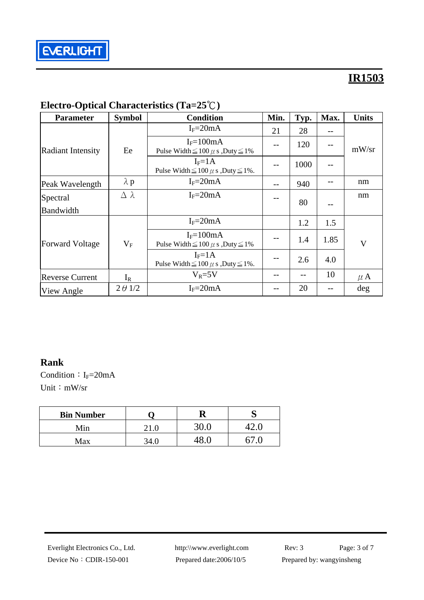

| <b>Parameter</b>         | <b>Symbol</b>    | <b>Condition</b>                                                | Min. | Typ. | Max. | <b>Units</b>            |
|--------------------------|------------------|-----------------------------------------------------------------|------|------|------|-------------------------|
|                          |                  | $I_F = 20mA$                                                    | 21   | 28   | --   |                         |
| <b>Radiant Intensity</b> | Ee               | $I_F = 100mA$<br>Pulse Width $\leq 100 \mu$ s , Duty $\leq 1\%$ |      | 120  |      | mW/sr                   |
|                          |                  | $I_F = 1A$<br>Pulse Width $\leq 100 \mu$ s, Duty $\leq 1\%$ .   |      | 1000 |      |                         |
| Peak Wavelength          | $\lambda$ p      | $I_F = 20mA$                                                    | $-1$ | 940  |      | nm                      |
| Spectral                 | $\Delta \lambda$ | $I_F = 20mA$                                                    |      | 80   |      | nm                      |
| Bandwidth                |                  |                                                                 |      |      |      |                         |
| <b>Forward Voltage</b>   |                  | $I_F = 20mA$                                                    |      | 1.2  | 1.5  |                         |
|                          | $V_{\rm F}$      | $I_F = 100mA$<br>Pulse Width $\leq 100 \mu$ s , Duty $\leq 1\%$ |      | 1.4  | 1.85 | $\overline{\mathsf{V}}$ |
|                          |                  | $I_F = 1A$<br>Pulse Width $\leq 100 \mu$ s , Duty $\leq 1\%$ .  | --   | 2.6  | 4.0  |                         |
| <b>Reverse Current</b>   | $I_R$            | $V_R = 5V$                                                      |      | --   | 10   | $\mu$ A                 |
| View Angle               | $2 \theta$ 1/2   | $I_F = 20mA$                                                    |      | 20   |      | deg                     |

## **Electro-Optical Characteristics (Ta=25**℃**)**

#### **Rank**

Condition:  $I_F=20mA$ Unit: mW/sr

| <b>Bin Number</b> |  |  |
|-------------------|--|--|
| Min               |  |  |
| Max               |  |  |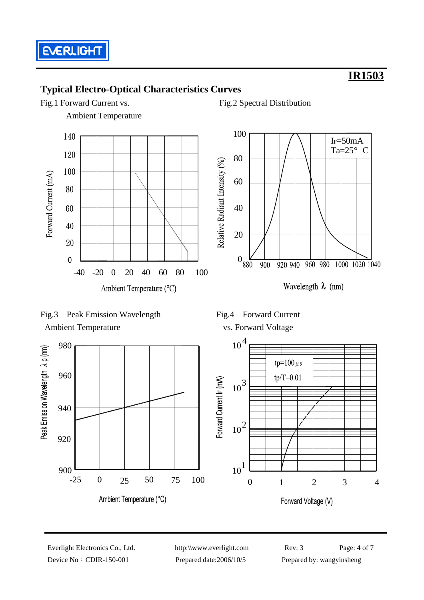

### **Typical Electro-Optical Characteristics Curves**

Fig.1 Forward Current vs. Fig.2 Spectral Distribution

Ambient Temperature











Device No: CDIR-150-001 Prepared date:2006/10/5 Prepared by: wangyinsheng

Everlight Electronics Co., Ltd. http:\\www.everlight.com Rev: 3 Page: 4 of 7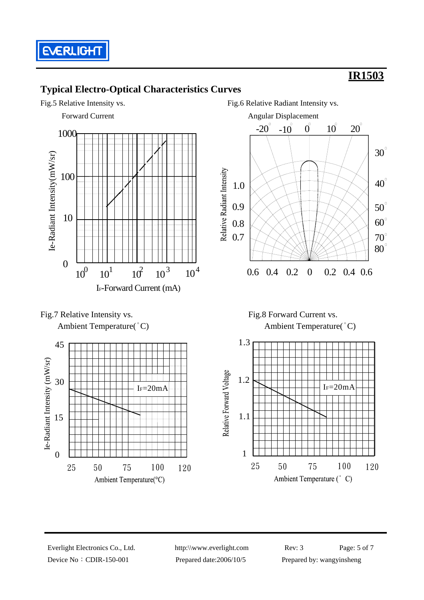

### **Typical Electro-Optical Characteristics Curves**









Ambient Temperature( $^{\circ}$ C) Ambient Temperature( $^{\circ}$ C)



Device No: CDIR-150-001 Prepared date:2006/10/5 Prepared by: wangyinsheng

Everlight Electronics Co., Ltd. http:\\www.everlight.com Rev: 3 Page: 5 of 7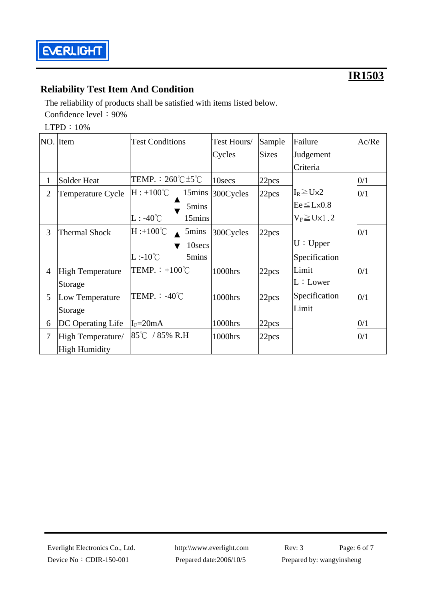

### **Reliability Test Item And Condition**

The reliability of products shall be satisfied with items listed below. Confidence level: 90%

LTPD:10%

|                | NO. Item                 | <b>Test Conditions</b>                       | Test Hours/ | Sample       | Failure                | Ac/Re |
|----------------|--------------------------|----------------------------------------------|-------------|--------------|------------------------|-------|
|                |                          |                                              | Cycles      | <b>Sizes</b> | Judgement              |       |
|                |                          |                                              |             |              | Criteria               |       |
| 1              | Solder Heat              | TEMP. : $260^{\circ}$ C $\pm$ 5 $^{\circ}$ C | 10secs      | 22pcs        |                        | 0/1   |
| $\overline{2}$ | <b>Temperature Cycle</b> | $H: +100^{\circ}C$<br>15mins                 | 300Cycles   | 22pcs        | $I_R \geq U \times 2$  | 0/1   |
|                |                          | 5mins                                        |             |              | $Ee \leq L \times 0.8$ |       |
|                |                          | $L: -40^{\circ}C$<br>15mins                  |             |              | $V_F \ge U \times 1.2$ |       |
| 3              | <b>Thermal Shock</b>     | $H : +100^{\circ}C$<br>5mins                 | 300Cycles   | 22pcs        |                        | 0/1   |
|                |                          | 10secs                                       |             |              | U: Upper               |       |
|                |                          | $L:10^{\circ}C$<br>5mins                     |             |              | Specification          |       |
| $\overline{4}$ | <b>High Temperature</b>  | TEMP. $\div$ +100 <sup>°</sup> C             | 1000hrs     | 22pcs        | Limit                  | 0/1   |
|                | Storage                  |                                              |             |              | L:Lower                |       |
| 5              | Low Temperature          | TEMP. : $-40^{\circ}$ C                      | 1000hrs     | 22pcs        | Specification          | 0/1   |
|                | Storage                  |                                              |             |              | Limit                  |       |
| 6              | DC Operating Life        | $I_F = 20mA$                                 | 1000hrs     | 22pcs        |                        | 0/1   |
| $\overline{7}$ | High Temperature/        | $85^{\circ}$ C / 85% R.H                     | 1000hrs     | 22pcs        |                        | 0/1   |
|                | <b>High Humidity</b>     |                                              |             |              |                        |       |